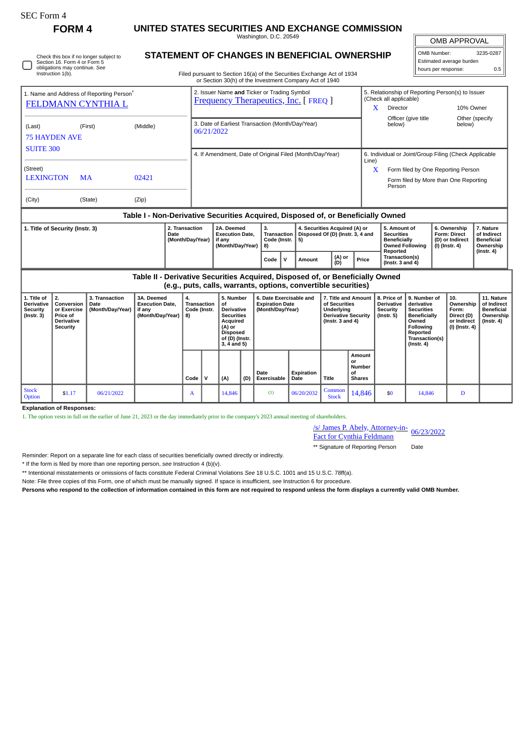| FOrm |
|------|
|------|

 $\Box$ 

Check this box if no longer subject to Section 16. Form 4 or Form 5 obligations may continue. *See* Instruction 1(b).

**FORM 4 UNITED STATES SECURITIES AND EXCHANGE COMMISSION**

Washington, D.C. 20549 **STATEMENT OF CHANGES IN BENEFICIAL OWNERSHIP**  $\mathbb{I}$ OMB APPROVAL

| OMB Number:              | 3235-0287 |  |  |  |  |  |  |  |  |
|--------------------------|-----------|--|--|--|--|--|--|--|--|
| Estimated average burden |           |  |  |  |  |  |  |  |  |
| hours per response:      | 0.5       |  |  |  |  |  |  |  |  |

Filed pursuant to Section 16(a) of the Securities Exchange Act of 1934 or Section 30(h) of the Investment Company Act of 1940

| 1. Name and Address of Reporting Person <sup>®</sup><br><b>FELDMANN CYNTHIA L</b> |         |          |                                                          | 2. Issuer Name and Ticker or Trading Symbol<br><b>Frequency Therapeutics, Inc. [FREQ ]</b> |      |                                                                                                           |        |               |                                                                | 5. Relationship of Reporting Person(s) to Issuer<br>(Check all applicable)<br>X<br>Director<br>10% Owner |                                                                          |                                                                                |  |  |
|-----------------------------------------------------------------------------------|---------|----------|----------------------------------------------------------|--------------------------------------------------------------------------------------------|------|-----------------------------------------------------------------------------------------------------------|--------|---------------|----------------------------------------------------------------|----------------------------------------------------------------------------------------------------------|--------------------------------------------------------------------------|--------------------------------------------------------------------------------|--|--|
| (Last)<br><b>75 HAYDEN AVE</b>                                                    | (First) | (Middle) |                                                          | 3. Date of Earliest Transaction (Month/Day/Year)<br>06/21/2022                             |      |                                                                                                           |        |               |                                                                | Officer (give title<br>below)                                                                            | below)                                                                   | Other (specify                                                                 |  |  |
| <b>SUITE 300</b>                                                                  |         |          | 4. If Amendment, Date of Original Filed (Month/Day/Year) |                                                                                            |      |                                                                                                           |        |               | 6. Individual or Joint/Group Filing (Check Applicable<br>Line) |                                                                                                          |                                                                          |                                                                                |  |  |
| (Street)                                                                          |         |          |                                                          |                                                                                            |      |                                                                                                           |        |               | X                                                              | Form filed by One Reporting Person                                                                       |                                                                          |                                                                                |  |  |
| <b>LEXINGTON</b>                                                                  | MA      | 02421    |                                                          |                                                                                            |      |                                                                                                           |        |               | Form filed by More than One Reporting<br>Person                |                                                                                                          |                                                                          |                                                                                |  |  |
| (City)                                                                            | (State) | (Zip)    |                                                          |                                                                                            |      |                                                                                                           |        |               |                                                                |                                                                                                          |                                                                          |                                                                                |  |  |
| Table I - Non-Derivative Securities Acquired, Disposed of, or Beneficially Owned  |         |          |                                                          |                                                                                            |      |                                                                                                           |        |               |                                                                |                                                                                                          |                                                                          |                                                                                |  |  |
| 1. Title of Security (Instr. 3)<br>Date                                           |         |          | 2. Transaction<br>(Month/Day/Year)                       | 3.<br>2A. Deemed<br><b>Execution Date,</b><br>if any<br>(Month/Day/Year)<br>8)             |      | 4. Securities Acquired (A) or<br>Transaction  <br>Disposed Of (D) (Instr. 3, 4 and<br>Code (Instr. $ 5$ ) |        |               |                                                                | 5. Amount of<br><b>Securities</b><br><b>Beneficially</b><br><b>Owned Following</b><br>Reported           | 6. Ownership<br><b>Form: Direct</b><br>(D) or Indirect<br>(I) (Instr. 4) | 7. Nature<br>of Indirect<br><b>Beneficial</b><br>Ownership<br>$($ Instr. 4 $)$ |  |  |
|                                                                                   |         |          |                                                          |                                                                                            | Code | v                                                                                                         | Amount | (A) or<br>(D) | Price                                                          | Transaction(s)<br>( $Instr. 3 and 4$ )                                                                   |                                                                          |                                                                                |  |  |

**Table II - Derivative Securities Acquired, Disposed of, or Beneficially Owned (e.g., puts, calls, warrants, options, convertible securities)**

| 1. Title of<br><b>Derivative</b><br>Security<br>$($ lnstr. 3 $)$ | 2.<br>Conversion<br>or Exercise<br>Price of<br><b>Derivative</b><br>Security | 3. Transaction<br>Date<br>(Month/Day/Year) | 3A. Deemed<br><b>Execution Date.</b><br>if any<br>(Month/Day/Year) | 4.<br>Transaction<br>Code (Instr.<br>8) |              | 5. Number<br>οf<br><b>Derivative</b><br><b>Securities</b><br>Acquired<br>(A) or<br><b>Disposed</b><br>of (D) (Instr.<br>$3, 4$ and $5)$ |     | 6. Date Exercisable and<br><b>Expiration Date</b><br>(Month/Day/Year) |                    | 7. Title and Amount<br>of Securities<br>Underlying<br><b>Derivative Security</b><br>( $lnstr. 3 and 4$ ) |                                                      | 8. Price of<br><b>Derivative</b><br>Security<br>$($ lnstr. 5 $)$ | 9. Number of<br>derivative<br><b>Securities</b><br>Beneficially<br>Owned<br><b>Following</b><br>Reported<br>Transaction(s)<br>$($ lnstr. 4 $)$ | 10.<br>Ownership<br>Form:<br>Direct (D)<br>or Indirect<br>(I) (Instr. 4) | 11. Nature<br>of Indirect<br><b>Beneficial</b><br>Ownership<br>$($ lnstr. 4 $)$ |
|------------------------------------------------------------------|------------------------------------------------------------------------------|--------------------------------------------|--------------------------------------------------------------------|-----------------------------------------|--------------|-----------------------------------------------------------------------------------------------------------------------------------------|-----|-----------------------------------------------------------------------|--------------------|----------------------------------------------------------------------------------------------------------|------------------------------------------------------|------------------------------------------------------------------|------------------------------------------------------------------------------------------------------------------------------------------------|--------------------------------------------------------------------------|---------------------------------------------------------------------------------|
|                                                                  |                                                                              |                                            |                                                                    | Code                                    | $\mathbf{v}$ | (A)                                                                                                                                     | (D) | Date<br><b>Exercisable</b>                                            | Expiration<br>Date | Title                                                                                                    | Amount<br>or<br><b>Number</b><br>οf<br><b>Shares</b> |                                                                  |                                                                                                                                                |                                                                          |                                                                                 |
| <b>Stock</b><br>Option                                           | \$1.17                                                                       | 06/21/2022                                 |                                                                    | A                                       |              | 14,846                                                                                                                                  |     | (1)                                                                   | 06/20/2032         | Common<br><b>Stock</b>                                                                                   | 14,846                                               | \$0                                                              | 14,846                                                                                                                                         | D                                                                        |                                                                                 |

**Explanation of Responses:**

1. The option vests in full on the earlier of June 21, 2023 or the day immediately prior to the company's 2023 annual meeting of shareholders.

/s/ James P. Abely, Attorney-in-

<u>/s/ James P. Abely, Attorney-in-</u><br>Fact for Cynthia Feldmann 06/23/2022

\*\* Signature of Reporting Person Date

Reminder: Report on a separate line for each class of securities beneficially owned directly or indirectly.

\* If the form is filed by more than one reporting person, *see* Instruction 4 (b)(v).

\*\* Intentional misstatements or omissions of facts constitute Federal Criminal Violations *See* 18 U.S.C. 1001 and 15 U.S.C. 78ff(a).

Note: File three copies of this Form, one of which must be manually signed. If space is insufficient, *see* Instruction 6 for procedure.

**Persons who respond to the collection of information contained in this form are not required to respond unless the form displays a currently valid OMB Number.**